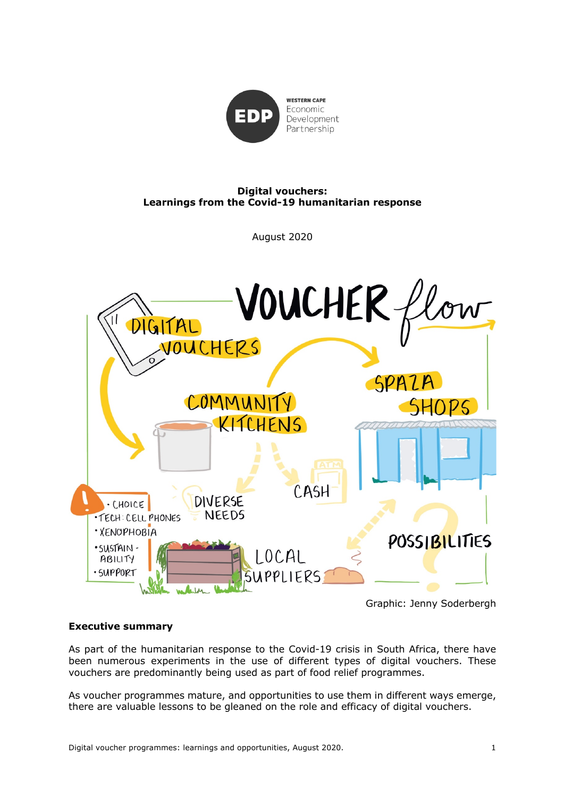

# **Digital vouchers: Learnings from the Covid-19 humanitarian response**

August 2020



Graphic: Jenny Soderbergh

# **Executive summary**

As part of the humanitarian response to the Covid-19 crisis in South Africa, there have been numerous experiments in the use of different types of digital vouchers. These vouchers are predominantly being used as part of food relief programmes.

As voucher programmes mature, and opportunities to use them in different ways emerge, there are valuable lessons to be gleaned on the role and efficacy of digital vouchers.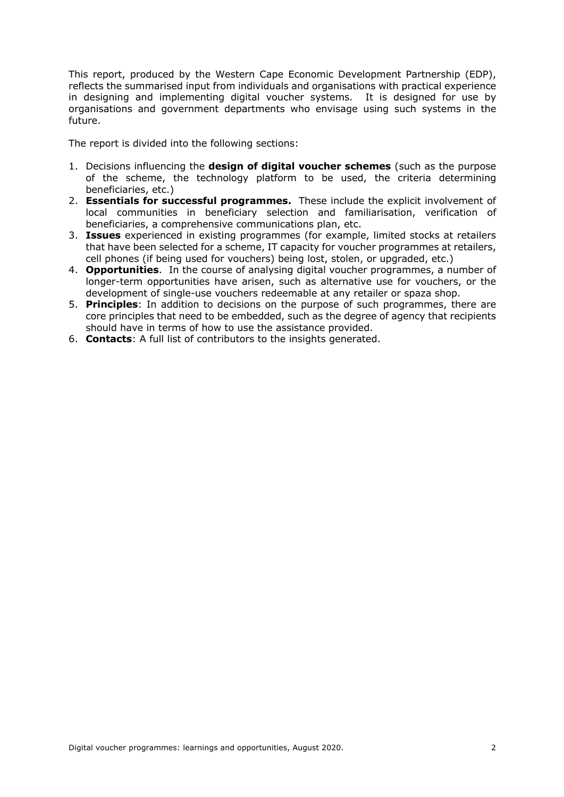This report, produced by the Western Cape Economic Development Partnership (EDP), reflects the summarised input from individuals and organisations with practical experience in designing and implementing digital voucher systems. It is designed for use by organisations and government departments who envisage using such systems in the future.

The report is divided into the following sections:

- 1. Decisions influencing the **design of digital voucher schemes** (such as the purpose of the scheme, the technology platform to be used, the criteria determining beneficiaries, etc.)
- 2. **Essentials for successful programmes.** These include the explicit involvement of local communities in beneficiary selection and familiarisation, verification of beneficiaries, a comprehensive communications plan, etc.
- 3. **Issues** experienced in existing programmes (for example, limited stocks at retailers that have been selected for a scheme, IT capacity for voucher programmes at retailers, cell phones (if being used for vouchers) being lost, stolen, or upgraded, etc.)
- 4. **Opportunities**. In the course of analysing digital voucher programmes, a number of longer-term opportunities have arisen, such as alternative use for vouchers, or the development of single-use vouchers redeemable at any retailer or spaza shop.
- 5. **Principles**: In addition to decisions on the purpose of such programmes, there are core principles that need to be embedded, such as the degree of agency that recipients should have in terms of how to use the assistance provided.
- 6. **Contacts**: A full list of contributors to the insights generated.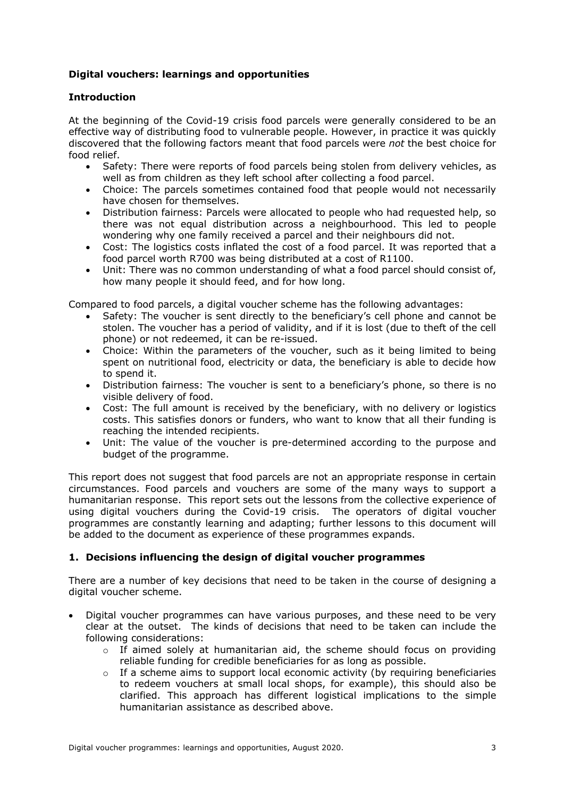# **Digital vouchers: learnings and opportunities**

#### **Introduction**

At the beginning of the Covid-19 crisis food parcels were generally considered to be an effective way of distributing food to vulnerable people. However, in practice it was quickly discovered that the following factors meant that food parcels were *not* the best choice for food relief.

- Safety: There were reports of food parcels being stolen from delivery vehicles, as well as from children as they left school after collecting a food parcel.
- Choice: The parcels sometimes contained food that people would not necessarily have chosen for themselves.
- Distribution fairness: Parcels were allocated to people who had requested help, so there was not equal distribution across a neighbourhood. This led to people wondering why one family received a parcel and their neighbours did not.
- Cost: The logistics costs inflated the cost of a food parcel. It was reported that a food parcel worth R700 was being distributed at a cost of R1100.
- Unit: There was no common understanding of what a food parcel should consist of, how many people it should feed, and for how long.

Compared to food parcels, a digital voucher scheme has the following advantages:

- Safety: The voucher is sent directly to the beneficiary's cell phone and cannot be stolen. The voucher has a period of validity, and if it is lost (due to theft of the cell phone) or not redeemed, it can be re-issued.
- Choice: Within the parameters of the voucher, such as it being limited to being spent on nutritional food, electricity or data, the beneficiary is able to decide how to spend it.
- Distribution fairness: The voucher is sent to a beneficiary's phone, so there is no visible delivery of food.
- Cost: The full amount is received by the beneficiary, with no delivery or logistics costs. This satisfies donors or funders, who want to know that all their funding is reaching the intended recipients.
- Unit: The value of the voucher is pre-determined according to the purpose and budget of the programme.

This report does not suggest that food parcels are not an appropriate response in certain circumstances. Food parcels and vouchers are some of the many ways to support a humanitarian response. This report sets out the lessons from the collective experience of using digital vouchers during the Covid-19 crisis. The operators of digital voucher programmes are constantly learning and adapting; further lessons to this document will be added to the document as experience of these programmes expands.

# **1. Decisions influencing the design of digital voucher programmes**

There are a number of key decisions that need to be taken in the course of designing a digital voucher scheme.

- Digital voucher programmes can have various purposes, and these need to be very clear at the outset. The kinds of decisions that need to be taken can include the following considerations:
	- $\circ$  If aimed solely at humanitarian aid, the scheme should focus on providing reliable funding for credible beneficiaries for as long as possible.
	- $\circ$  If a scheme aims to support local economic activity (by requiring beneficiaries to redeem vouchers at small local shops, for example), this should also be clarified. This approach has different logistical implications to the simple humanitarian assistance as described above.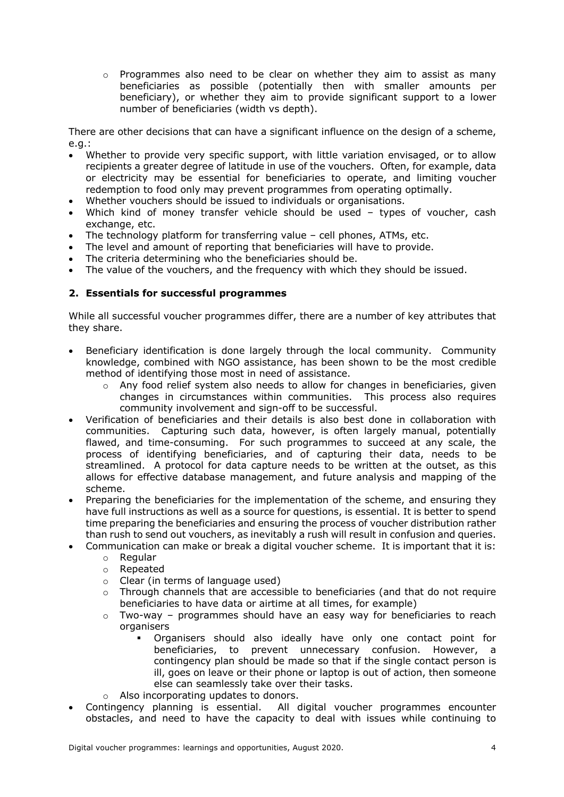$\circ$  Programmes also need to be clear on whether they aim to assist as many beneficiaries as possible (potentially then with smaller amounts per beneficiary), or whether they aim to provide significant support to a lower number of beneficiaries (width vs depth).

There are other decisions that can have a significant influence on the design of a scheme, e.g.:

- Whether to provide very specific support, with little variation envisaged, or to allow recipients a greater degree of latitude in use of the vouchers. Often, for example, data or electricity may be essential for beneficiaries to operate, and limiting voucher redemption to food only may prevent programmes from operating optimally.
- Whether vouchers should be issued to individuals or organisations.
- Which kind of money transfer vehicle should be used types of voucher, cash exchange, etc.
- The technology platform for transferring value cell phones, ATMs, etc.
- The level and amount of reporting that beneficiaries will have to provide.
- The criteria determining who the beneficiaries should be.
- The value of the vouchers, and the frequency with which they should be issued.

#### **2. Essentials for successful programmes**

While all successful voucher programmes differ, there are a number of key attributes that they share.

- Beneficiary identification is done largely through the local community. Community knowledge, combined with NGO assistance, has been shown to be the most credible method of identifying those most in need of assistance.
	- $\circ$  Any food relief system also needs to allow for changes in beneficiaries, given changes in circumstances within communities. This process also requires community involvement and sign-off to be successful.
- Verification of beneficiaries and their details is also best done in collaboration with communities. Capturing such data, however, is often largely manual, potentially flawed, and time-consuming. For such programmes to succeed at any scale, the process of identifying beneficiaries, and of capturing their data, needs to be streamlined. A protocol for data capture needs to be written at the outset, as this allows for effective database management, and future analysis and mapping of the scheme.
- Preparing the beneficiaries for the implementation of the scheme, and ensuring they have full instructions as well as a source for questions, is essential. It is better to spend time preparing the beneficiaries and ensuring the process of voucher distribution rather than rush to send out vouchers, as inevitably a rush will result in confusion and queries.
- Communication can make or break a digital voucher scheme. It is important that it is:
	- o Regular
	- o Repeated
	- o Clear (in terms of language used)
	- $\circ$  Through channels that are accessible to beneficiaries (and that do not require beneficiaries to have data or airtime at all times, for example)
	- o Two-way programmes should have an easy way for beneficiaries to reach organisers
		- § Organisers should also ideally have only one contact point for beneficiaries, to prevent unnecessary confusion. However, a contingency plan should be made so that if the single contact person is ill, goes on leave or their phone or laptop is out of action, then someone else can seamlessly take over their tasks.
	- o Also incorporating updates to donors.
- Contingency planning is essential. All digital voucher programmes encounter obstacles, and need to have the capacity to deal with issues while continuing to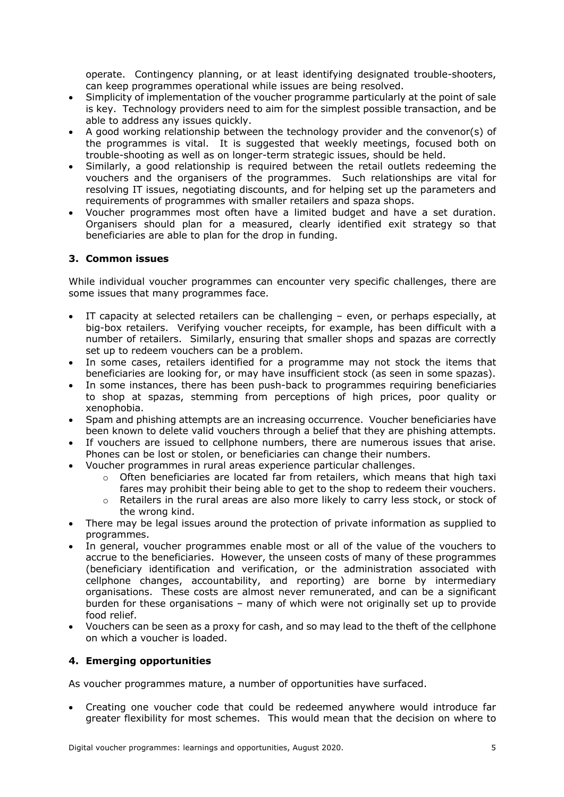operate. Contingency planning, or at least identifying designated trouble-shooters, can keep programmes operational while issues are being resolved.

- Simplicity of implementation of the voucher programme particularly at the point of sale is key. Technology providers need to aim for the simplest possible transaction, and be able to address any issues quickly.
- A good working relationship between the technology provider and the convenor(s) of the programmes is vital. It is suggested that weekly meetings, focused both on trouble-shooting as well as on longer-term strategic issues, should be held.
- Similarly, a good relationship is required between the retail outlets redeeming the vouchers and the organisers of the programmes. Such relationships are vital for resolving IT issues, negotiating discounts, and for helping set up the parameters and requirements of programmes with smaller retailers and spaza shops.
- Voucher programmes most often have a limited budget and have a set duration. Organisers should plan for a measured, clearly identified exit strategy so that beneficiaries are able to plan for the drop in funding.

# **3. Common issues**

While individual voucher programmes can encounter very specific challenges, there are some issues that many programmes face.

- IT capacity at selected retailers can be challenging even, or perhaps especially, at big-box retailers. Verifying voucher receipts, for example, has been difficult with a number of retailers. Similarly, ensuring that smaller shops and spazas are correctly set up to redeem vouchers can be a problem.
- In some cases, retailers identified for a programme may not stock the items that beneficiaries are looking for, or may have insufficient stock (as seen in some spazas).
- In some instances, there has been push-back to programmes requiring beneficiaries to shop at spazas, stemming from perceptions of high prices, poor quality or xenophobia.
- Spam and phishing attempts are an increasing occurrence. Voucher beneficiaries have been known to delete valid vouchers through a belief that they are phishing attempts.
- If vouchers are issued to cellphone numbers, there are numerous issues that arise. Phones can be lost or stolen, or beneficiaries can change their numbers.
- Voucher programmes in rural areas experience particular challenges.
	- $\circ$  Often beneficiaries are located far from retailers, which means that high taxi fares may prohibit their being able to get to the shop to redeem their vouchers.
	- $\circ$  Retailers in the rural areas are also more likely to carry less stock, or stock of the wrong kind.
- There may be legal issues around the protection of private information as supplied to programmes.
- In general, voucher programmes enable most or all of the value of the vouchers to accrue to the beneficiaries. However, the unseen costs of many of these programmes (beneficiary identification and verification, or the administration associated with cellphone changes, accountability, and reporting) are borne by intermediary organisations. These costs are almost never remunerated, and can be a significant burden for these organisations – many of which were not originally set up to provide food relief.
- Vouchers can be seen as a proxy for cash, and so may lead to the theft of the cellphone on which a voucher is loaded.

# **4. Emerging opportunities**

As voucher programmes mature, a number of opportunities have surfaced.

• Creating one voucher code that could be redeemed anywhere would introduce far greater flexibility for most schemes. This would mean that the decision on where to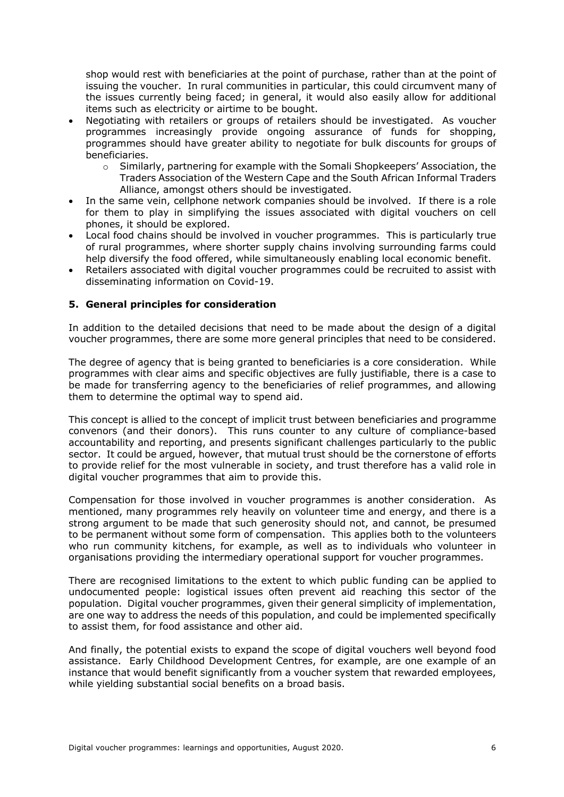shop would rest with beneficiaries at the point of purchase, rather than at the point of issuing the voucher. In rural communities in particular, this could circumvent many of the issues currently being faced; in general, it would also easily allow for additional items such as electricity or airtime to be bought.

- Negotiating with retailers or groups of retailers should be investigated. As voucher programmes increasingly provide ongoing assurance of funds for shopping, programmes should have greater ability to negotiate for bulk discounts for groups of beneficiaries.
	- o Similarly, partnering for example with the Somali Shopkeepers' Association, the Traders Association of the Western Cape and the South African Informal Traders Alliance, amongst others should be investigated.
- In the same vein, cellphone network companies should be involved. If there is a role for them to play in simplifying the issues associated with digital vouchers on cell phones, it should be explored.
- Local food chains should be involved in voucher programmes. This is particularly true of rural programmes, where shorter supply chains involving surrounding farms could help diversify the food offered, while simultaneously enabling local economic benefit.
- Retailers associated with digital voucher programmes could be recruited to assist with disseminating information on Covid-19.

# **5. General principles for consideration**

In addition to the detailed decisions that need to be made about the design of a digital voucher programmes, there are some more general principles that need to be considered.

The degree of agency that is being granted to beneficiaries is a core consideration. While programmes with clear aims and specific objectives are fully justifiable, there is a case to be made for transferring agency to the beneficiaries of relief programmes, and allowing them to determine the optimal way to spend aid.

This concept is allied to the concept of implicit trust between beneficiaries and programme convenors (and their donors). This runs counter to any culture of compliance-based accountability and reporting, and presents significant challenges particularly to the public sector. It could be argued, however, that mutual trust should be the cornerstone of efforts to provide relief for the most vulnerable in society, and trust therefore has a valid role in digital voucher programmes that aim to provide this.

Compensation for those involved in voucher programmes is another consideration. As mentioned, many programmes rely heavily on volunteer time and energy, and there is a strong argument to be made that such generosity should not, and cannot, be presumed to be permanent without some form of compensation. This applies both to the volunteers who run community kitchens, for example, as well as to individuals who volunteer in organisations providing the intermediary operational support for voucher programmes.

There are recognised limitations to the extent to which public funding can be applied to undocumented people: logistical issues often prevent aid reaching this sector of the population. Digital voucher programmes, given their general simplicity of implementation, are one way to address the needs of this population, and could be implemented specifically to assist them, for food assistance and other aid.

And finally, the potential exists to expand the scope of digital vouchers well beyond food assistance. Early Childhood Development Centres, for example, are one example of an instance that would benefit significantly from a voucher system that rewarded employees, while yielding substantial social benefits on a broad basis.